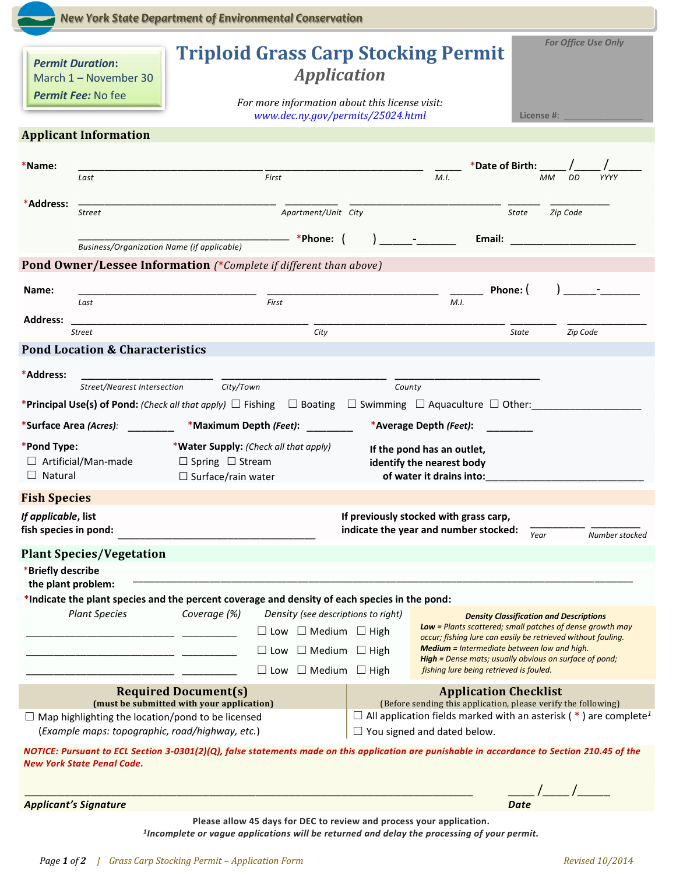|                                                                                                                                                                                    | <b>New York State Department of Environmental Conservation</b> |                                                                                                                                                                                                            |                                                                                                                                                                                             |                                                        |                                                                                                                                                                                                                                |          |  |
|------------------------------------------------------------------------------------------------------------------------------------------------------------------------------------|----------------------------------------------------------------|------------------------------------------------------------------------------------------------------------------------------------------------------------------------------------------------------------|---------------------------------------------------------------------------------------------------------------------------------------------------------------------------------------------|--------------------------------------------------------|--------------------------------------------------------------------------------------------------------------------------------------------------------------------------------------------------------------------------------|----------|--|
| <b>Permit Duration:</b><br>March 1 - November 30<br><b>Permit Fee: No fee</b>                                                                                                      |                                                                | <b>For Office Use Only</b><br><b>Triploid Grass Carp Stocking Permit</b><br><i><b>Application</b></i><br>For more information about this license visit:<br>www.dec.ny.gov/permits/25024.html<br>License #: |                                                                                                                                                                                             |                                                        |                                                                                                                                                                                                                                |          |  |
| <b>Applicant Information</b>                                                                                                                                                       |                                                                |                                                                                                                                                                                                            |                                                                                                                                                                                             |                                                        |                                                                                                                                                                                                                                |          |  |
|                                                                                                                                                                                    |                                                                |                                                                                                                                                                                                            |                                                                                                                                                                                             |                                                        |                                                                                                                                                                                                                                |          |  |
| *Name:<br>Last                                                                                                                                                                     | First                                                          |                                                                                                                                                                                                            |                                                                                                                                                                                             | *Date of Birth: ___<br>M.I.<br><b>MM</b><br>DD<br>YYYY |                                                                                                                                                                                                                                |          |  |
| *Address:<br>Street                                                                                                                                                                |                                                                | Apartment/Unit City                                                                                                                                                                                        |                                                                                                                                                                                             | State                                                  | Zip Code                                                                                                                                                                                                                       |          |  |
|                                                                                                                                                                                    |                                                                | - *Phone:                                                                                                                                                                                                  |                                                                                                                                                                                             |                                                        | Email:                                                                                                                                                                                                                         |          |  |
|                                                                                                                                                                                    | <b>Business/Organization Name (if applicable)</b>              |                                                                                                                                                                                                            |                                                                                                                                                                                             |                                                        |                                                                                                                                                                                                                                |          |  |
| <b>Pond Owner/Lessee Information</b> (*Complete if different than above)<br>Name:<br>Last                                                                                          | First                                                          |                                                                                                                                                                                                            | M.I.                                                                                                                                                                                        | Phone: (                                               |                                                                                                                                                                                                                                |          |  |
| <b>Address:</b><br><b>Street</b>                                                                                                                                                   |                                                                | City                                                                                                                                                                                                       |                                                                                                                                                                                             |                                                        | State                                                                                                                                                                                                                          | Zip Code |  |
| <b>Pond Location &amp; Characteristics</b>                                                                                                                                         |                                                                |                                                                                                                                                                                                            |                                                                                                                                                                                             |                                                        |                                                                                                                                                                                                                                |          |  |
| *Address:                                                                                                                                                                          |                                                                |                                                                                                                                                                                                            |                                                                                                                                                                                             |                                                        |                                                                                                                                                                                                                                |          |  |
| Street/Nearest Intersection                                                                                                                                                        | City/Town                                                      |                                                                                                                                                                                                            | County                                                                                                                                                                                      |                                                        |                                                                                                                                                                                                                                |          |  |
| * <b>Principal Use(s) of Pond:</b> (Check all that apply) $\Box$ Fishing $\Box$ Boating $\Box$ Swimming $\Box$ Aquaculture $\Box$ Other:                                           |                                                                |                                                                                                                                                                                                            |                                                                                                                                                                                             |                                                        |                                                                                                                                                                                                                                |          |  |
| *Surface Area (Acres):                                                                                                                                                             | *Maximum Depth (Feet):                                         |                                                                                                                                                                                                            |                                                                                                                                                                                             | *Average Depth (Feet):                                 |                                                                                                                                                                                                                                |          |  |
| *Pond Type:<br>*Water Supply: (Check all that apply)<br>$\Box$ Artificial/Man-made<br>$\Box$ Spring $\Box$ Stream<br>$\Box$ Natural<br>$\Box$ Surface/rain water                   |                                                                |                                                                                                                                                                                                            | If the pond has an outlet,<br>identify the nearest body<br>of water it drains into:                                                                                                         |                                                        |                                                                                                                                                                                                                                |          |  |
| <b>Fish Species</b>                                                                                                                                                                |                                                                |                                                                                                                                                                                                            |                                                                                                                                                                                             |                                                        |                                                                                                                                                                                                                                |          |  |
| If applicable, list<br>fish species in pond:                                                                                                                                       |                                                                |                                                                                                                                                                                                            | If previously stocked with grass carp,<br>indicate the year and number stocked:<br>Year<br>Number stocked                                                                                   |                                                        |                                                                                                                                                                                                                                |          |  |
| <b>Plant Species/Vegetation</b>                                                                                                                                                    |                                                                |                                                                                                                                                                                                            |                                                                                                                                                                                             |                                                        |                                                                                                                                                                                                                                |          |  |
| *Briefly describe<br>the plant problem:                                                                                                                                            |                                                                |                                                                                                                                                                                                            |                                                                                                                                                                                             |                                                        |                                                                                                                                                                                                                                |          |  |
| *Indicate the plant species and the percent coverage and density of each species in the pond:<br><b>Plant Species</b>                                                              | Coverage (%)                                                   | Density (see descriptions to right)                                                                                                                                                                        |                                                                                                                                                                                             |                                                        |                                                                                                                                                                                                                                |          |  |
|                                                                                                                                                                                    |                                                                | $\Box$ Low $\Box$ Medium $\Box$ High                                                                                                                                                                       |                                                                                                                                                                                             |                                                        | <b>Density Classification and Descriptions</b><br><b>Low = Plants scattered; small patches of dense growth may</b>                                                                                                             |          |  |
|                                                                                                                                                                                    | $\Box$ Low                                                     | $\Box$ Medium                                                                                                                                                                                              | $\Box$ High                                                                                                                                                                                 |                                                        | occur; fishing lure can easily be retrieved without fouling.<br><b>Medium = Intermediate between low and high.</b><br><b>High =</b> Dense mats; usually obvious on surface of pond;<br>fishing lure being retrieved is fouled. |          |  |
|                                                                                                                                                                                    | $\Box$ Low                                                     | $\Box$ Medium $\Box$ High                                                                                                                                                                                  |                                                                                                                                                                                             |                                                        |                                                                                                                                                                                                                                |          |  |
|                                                                                                                                                                                    | <b>Required Document(s)</b>                                    |                                                                                                                                                                                                            |                                                                                                                                                                                             |                                                        | <b>Application Checklist</b>                                                                                                                                                                                                   |          |  |
| (must be submitted with your application)<br>$\Box$ Map highlighting the location/pond to be licensed<br>(Example maps: topographic, road/highway, etc.)                           |                                                                |                                                                                                                                                                                                            | (Before sending this application, please verify the following)<br>$\Box$ All application fields marked with an asterisk (*) are complete <sup>1</sup><br>$\Box$ You signed and dated below. |                                                        |                                                                                                                                                                                                                                |          |  |
| NOTICE: Pursuant to ECL Section 3-0301(2)(Q), false statements made on this application are punishable in accordance to Section 210.45 of the<br><b>New York State Penal Code.</b> |                                                                |                                                                                                                                                                                                            |                                                                                                                                                                                             |                                                        |                                                                                                                                                                                                                                |          |  |
| <b>Applicant's Signature</b>                                                                                                                                                       |                                                                |                                                                                                                                                                                                            |                                                                                                                                                                                             |                                                        | Date                                                                                                                                                                                                                           |          |  |

**Please allow 45 days for DEC to review and process your application.**  *1 Incomplete or vague applications will be returned and delay the processing of your permit.*